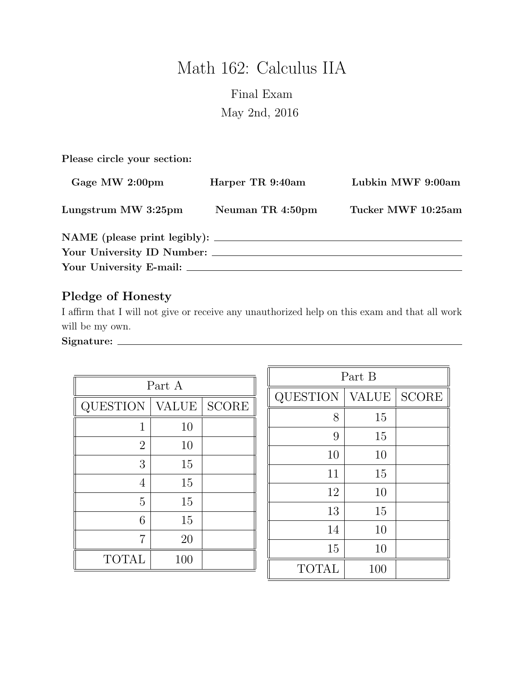# Math 162: Calculus IIA

# Final Exam May 2nd, 2016

Please circle your section:

| Gage MW 2:00pm             | Harper TR 9:40am | Lubkin MWF 9:00am  |  |
|----------------------------|------------------|--------------------|--|
| Lungstrum MW 3:25pm        | Neuman TR 4:50pm | Tucker MWF 10:25am |  |
|                            |                  |                    |  |
| Your University ID Number: |                  |                    |  |
|                            |                  |                    |  |

# Pledge of Honesty

I affirm that I will not give or receive any unauthorized help on this exam and that all work will be my own.

Signature:

| Part A         |              |                        |  |
|----------------|--------------|------------------------|--|
| QUESTION       | <b>VALUE</b> | $\operatorname{SCORE}$ |  |
| 1              | 10           |                        |  |
| $\overline{2}$ | 10           |                        |  |
| 3              | 15           |                        |  |
| 4              | 15           |                        |  |
| 5              | 15           |                        |  |
| 6              | 15           |                        |  |
| 7              | 20           |                        |  |
| <b>TOTAL</b>   | 100          |                        |  |

| Part B          |              |              |  |
|-----------------|--------------|--------------|--|
| <b>QUESTION</b> | <b>VALUE</b> | <b>SCORE</b> |  |
| 8               | 15           |              |  |
| 9               | 15           |              |  |
| 10              | 10           |              |  |
| 11              | 15           |              |  |
| 12              | 10           |              |  |
| 13              | 15           |              |  |
| 14              | 10           |              |  |
| 15              | 10           |              |  |
| <b>TOTAL</b>    | 100          |              |  |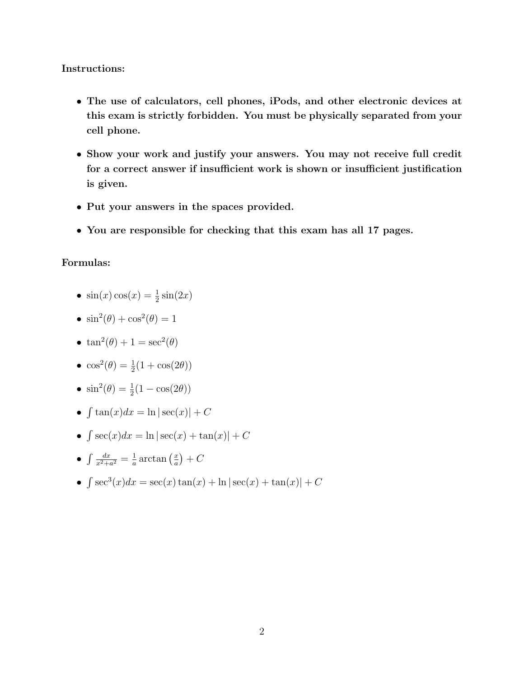#### Instructions:

- The use of calculators, cell phones, iPods, and other electronic devices at this exam is strictly forbidden. You must be physically separated from your cell phone.
- Show your work and justify your answers. You may not receive full credit for a correct answer if insufficient work is shown or insufficient justification is given.
- Put your answers in the spaces provided.
- You are responsible for checking that this exam has all 17 pages.

#### Formulas:

- $\sin(x)\cos(x) = \frac{1}{2}\sin(2x)$
- $\sin^2(\theta) + \cos^2(\theta) = 1$
- $\tan^2(\theta) + 1 = \sec^2(\theta)$
- $\cos^2(\theta) = \frac{1}{2}(1 + \cos(2\theta))$
- $\sin^2(\theta) = \frac{1}{2}(1 \cos(2\theta))$
- $\int \tan(x)dx = \ln|\sec(x)| + C$
- $\int \sec(x)dx = \ln|\sec(x) + \tan(x)| + C$

• 
$$
\int \frac{dx}{x^2 + a^2} = \frac{1}{a} \arctan\left(\frac{x}{a}\right) + C
$$

•  $\int \sec^3(x)dx = \sec(x)\tan(x) + \ln|\sec(x) + \tan(x)| + C$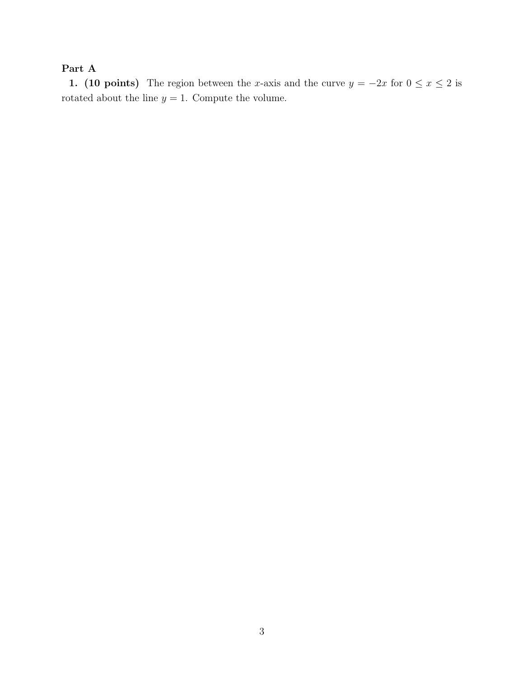# Part A

1. (10 points) The region between the x-axis and the curve  $y = -2x$  for  $0 \le x \le 2$  is rotated about the line  $y=1.$  Compute the volume.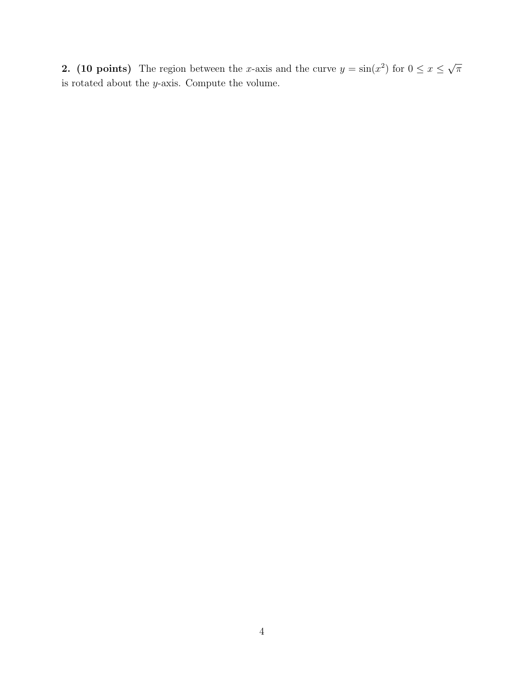2. (10 points) The region between the x-axis and the curve  $y = \sin(x^2)$  for  $0 \le x \le$ √  $\overline{\pi}$ is rotated about the  $y\textrm{-axis.}$  Compute the volume.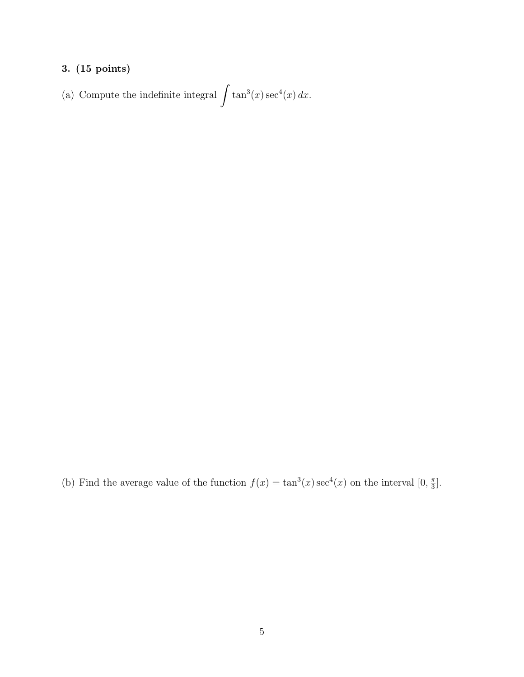(a) Compute the indefinite integral  $\int \tan^3(x) \sec^4(x) dx$ .

(b) Find the average value of the function  $f(x) = \tan^3(x) \sec^4(x)$  on the interval  $[0, \frac{\pi}{3}]$  $\frac{\pi}{3}$ .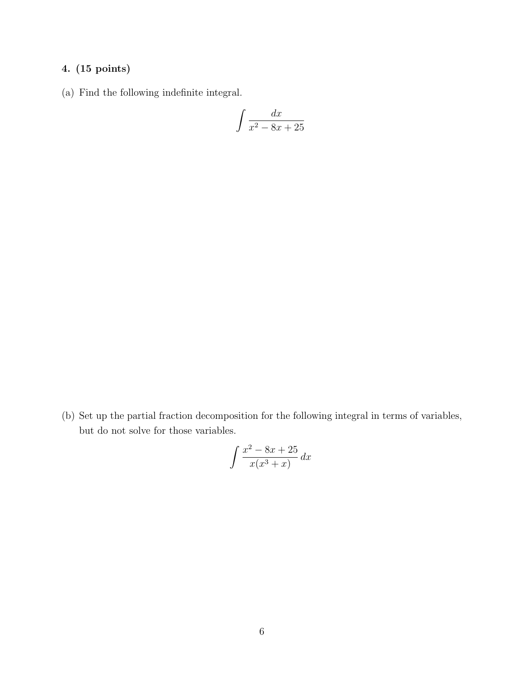(a) Find the following indefinite integral.

$$
\int \frac{dx}{x^2 - 8x + 25}
$$

(b) Set up the partial fraction decomposition for the following integral in terms of variables, but do not solve for those variables.

$$
\int \frac{x^2 - 8x + 25}{x(x^3 + x)} dx
$$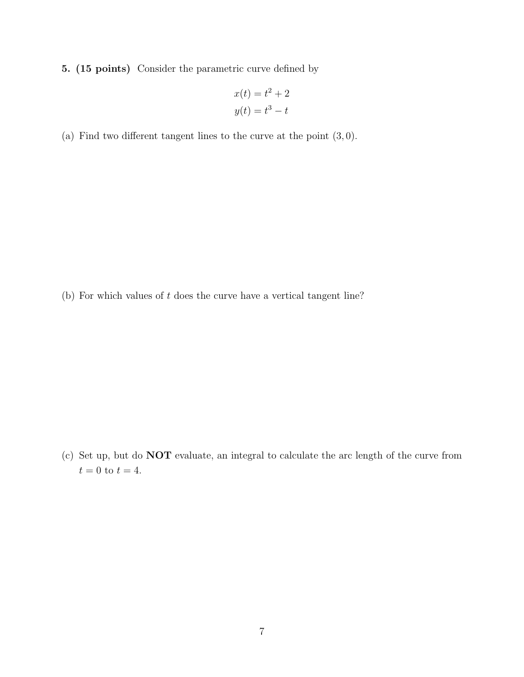5. (15 points) Consider the parametric curve defined by

$$
x(t) = t2 + 2
$$

$$
y(t) = t3 - t
$$

(a) Find two different tangent lines to the curve at the point  $(3,0)$ .

(b) For which values of t does the curve have a vertical tangent line?

(c) Set up, but do NOT evaluate, an integral to calculate the arc length of the curve from  $t = 0$  to  $t = 4$ .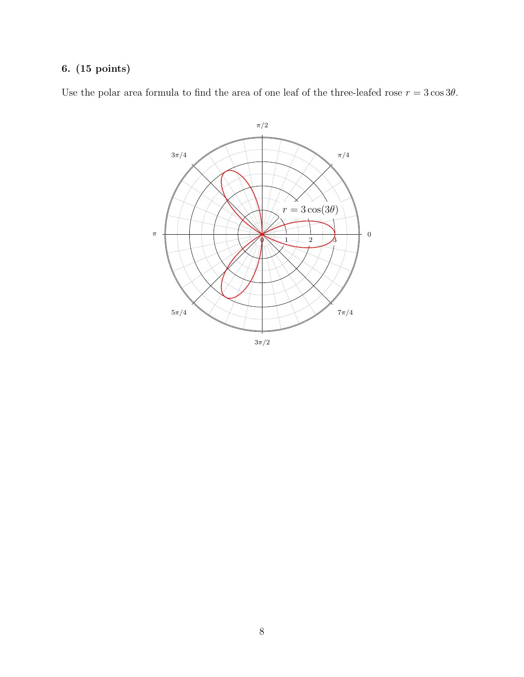Use the polar area formula to find the area of one leaf of the three-leafed rose  $r = 3 \cos 3\theta$ .

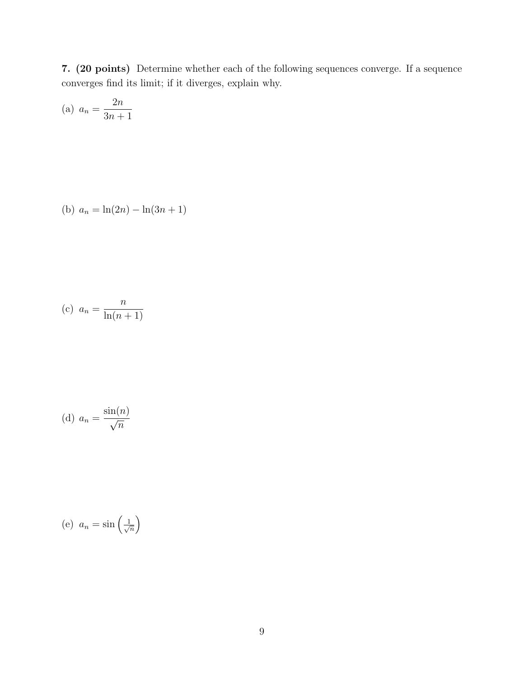7. (20 points) Determine whether each of the following sequences converge. If a sequence converges find its limit; if it diverges, explain why.

(a) 
$$
a_n = \frac{2n}{3n+1}
$$

(b) 
$$
a_n = \ln(2n) - \ln(3n + 1)
$$

$$
(c) \ \ a_n = \frac{n}{\ln(n+1)}
$$

(d) 
$$
a_n = \frac{\sin(n)}{\sqrt{n}}
$$

(e) 
$$
a_n = \sin\left(\frac{1}{\sqrt{n}}\right)
$$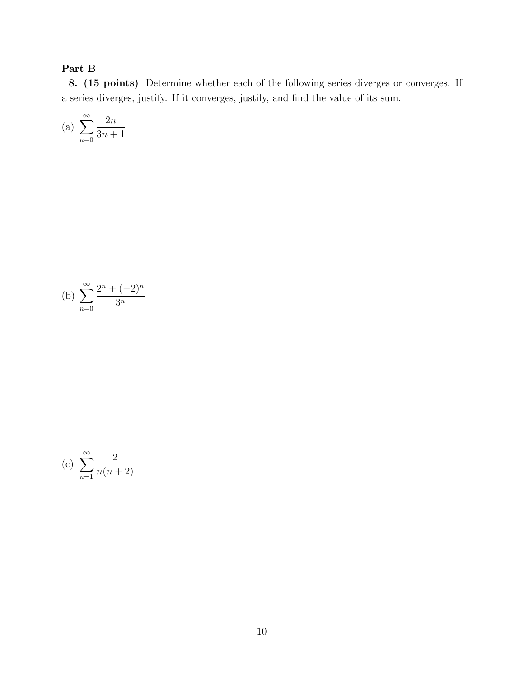# Part B

8. (15 points) Determine whether each of the following series diverges or converges. If a series diverges, justify. If it converges, justify, and find the value of its sum.

(a) 
$$
\sum_{n=0}^{\infty} \frac{2n}{3n+1}
$$

(b) 
$$
\sum_{n=0}^{\infty} \frac{2^n + (-2)^n}{3^n}
$$

(c) 
$$
\sum_{n=1}^{\infty} \frac{2}{n(n+2)}
$$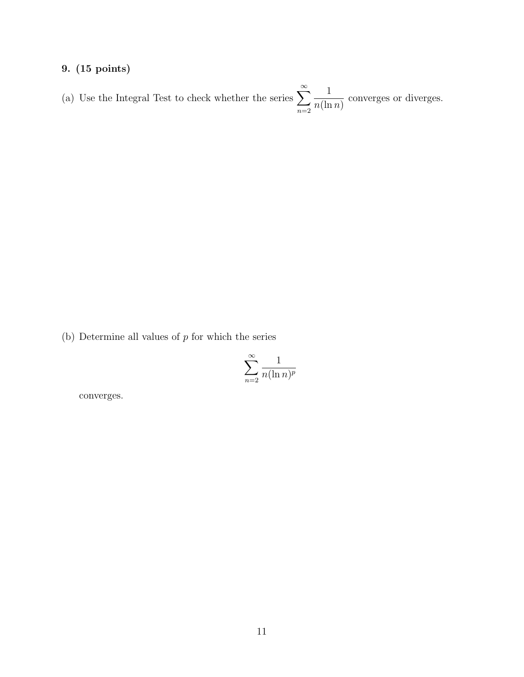(a) Use the Integral Test to check whether the series  $\sum_{n=1}^{\infty}$  $n=2$ 1  $n(\ln n)$ converges or diverges.

(b) Determine all values of  $p$  for which the series

$$
\sum_{n=2}^{\infty} \frac{1}{n(\ln n)^p}
$$

converges.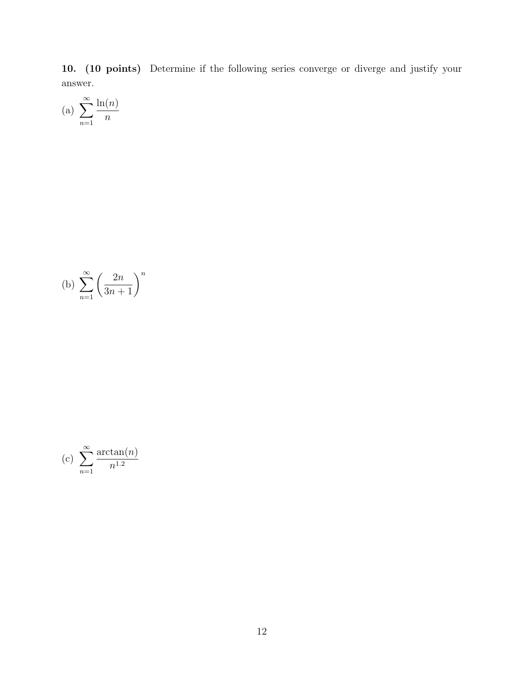10. (10 points) Determine if the following series converge or diverge and justify your answer.

(a) 
$$
\sum_{n=1}^{\infty} \frac{\ln(n)}{n}
$$

(b) 
$$
\sum_{n=1}^{\infty} \left( \frac{2n}{3n+1} \right)^n
$$

(c) 
$$
\sum_{n=1}^{\infty} \frac{\arctan(n)}{n^{1.2}}
$$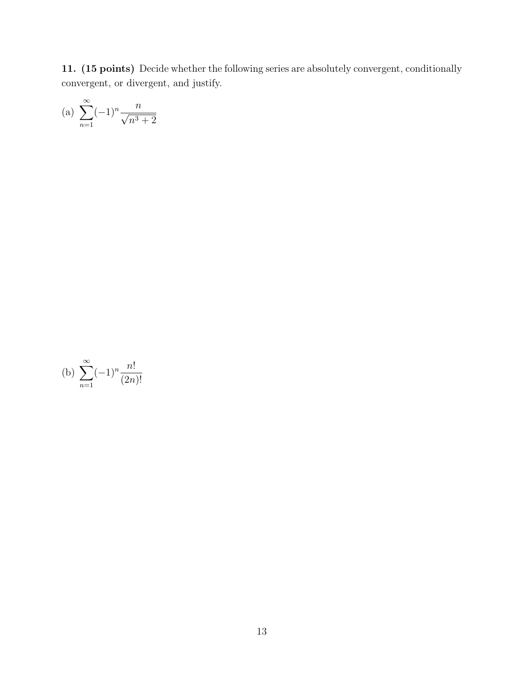11. (15 points) Decide whether the following series are absolutely convergent, conditionally convergent, or divergent, and justify.

(a) 
$$
\sum_{n=1}^{\infty} (-1)^n \frac{n}{\sqrt{n^3 + 2}}
$$

(b) 
$$
\sum_{n=1}^{\infty} (-1)^n \frac{n!}{(2n)!}
$$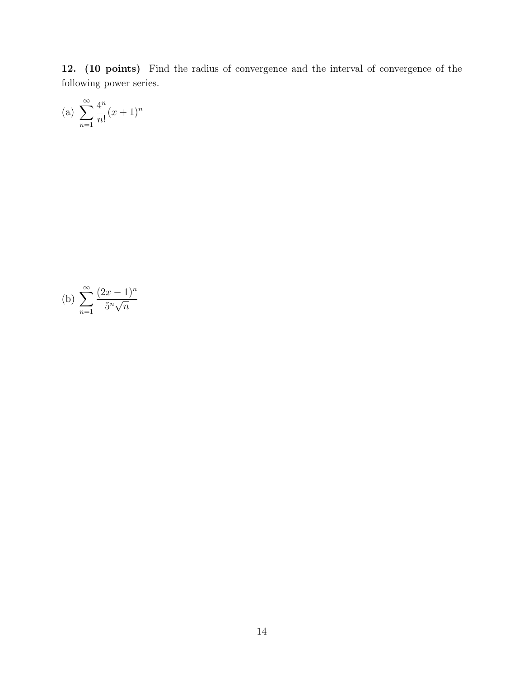12. (10 points) Find the radius of convergence and the interval of convergence of the following power series.

(a) 
$$
\sum_{n=1}^{\infty} \frac{4^n}{n!} (x+1)^n
$$

(b) 
$$
\sum_{n=1}^{\infty} \frac{(2x-1)^n}{5^n \sqrt{n}}
$$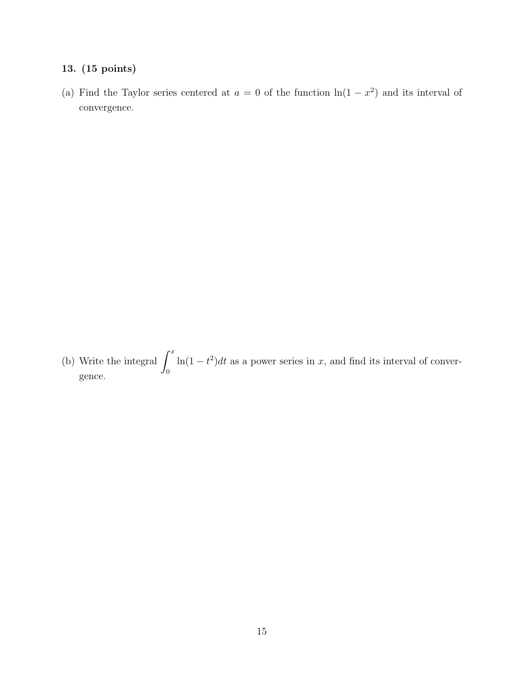(a) Find the Taylor series centered at  $a = 0$  of the function  $\ln(1 - x^2)$  and its interval of convergence.

(b) Write the integral  $\int^x$ 0  $\ln(1-t^2)dt$  as a power series in x, and find its interval of convergence.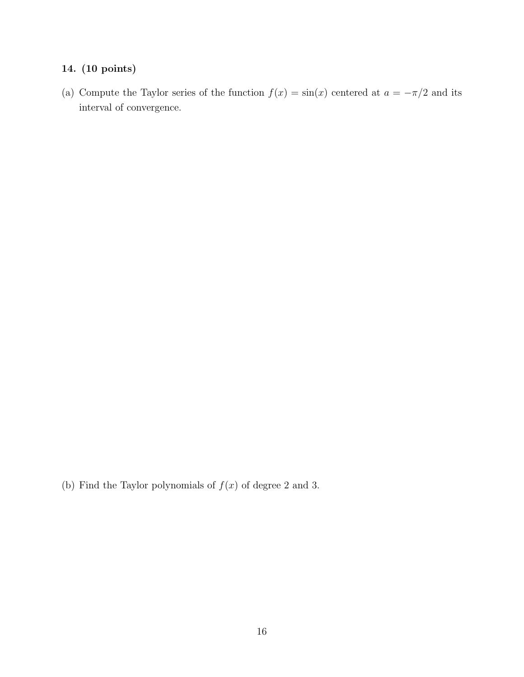(a) Compute the Taylor series of the function  $f(x) = \sin(x)$  centered at  $a = -\pi/2$  and its interval of convergence.

(b) Find the Taylor polynomials of  $f(x)$  of degree 2 and 3.